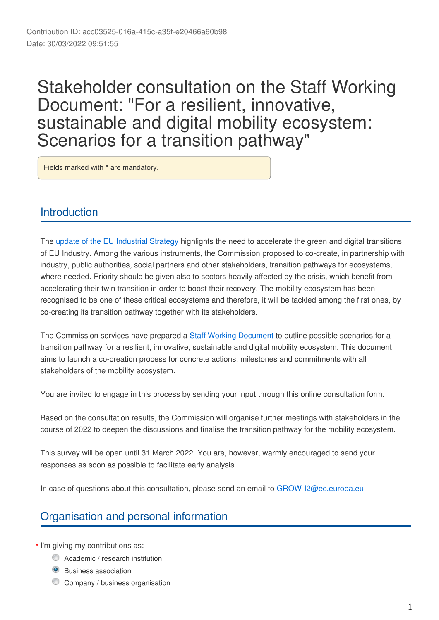# Stakeholder consultation on the Staff Working Document: "For a resilient, innovative, sustainable and digital mobility ecosystem: Scenarios for a transition pathway"

Fields marked with \* are mandatory.

# **Introduction**

The [update of the EU Industrial Strategy](https://ec.europa.eu/info/strategy/priorities-2019-2024/europe-fit-digital-age/european-industrial-strategy_en) highlights the need to accelerate the green and digital transitions of EU Industry. Among the various instruments, the Commission proposed to co-create, in partnership with industry, public authorities, social partners and other stakeholders, transition pathways for ecosystems, where needed. Priority should be given also to sectors heavily affected by the crisis, which benefit from accelerating their twin transition in order to boost their recovery. The mobility ecosystem has been recognised to be one of these critical ecosystems and therefore, it will be tackled among the first ones, by co-creating its transition pathway together with its stakeholders.

The Commission services have prepared a [Staff Working Document](https://ec.europa.eu/docsroom/documents/48535) to outline possible scenarios for a transition pathway for a resilient, innovative, sustainable and digital mobility ecosystem. This document aims to launch a co-creation process for concrete actions, milestones and commitments with all stakeholders of the mobility ecosystem.

You are invited to engage in this process by sending your input through this online consultation form.

Based on the consultation results, the Commission will organise further meetings with stakeholders in the course of 2022 to deepen the discussions and finalise the transition pathway for the mobility ecosystem.

This survey will be open until 31 March 2022. You are, however, warmly encouraged to send your responses as soon as possible to facilitate early analysis.

In case of questions about this consultation, please send an email to GROW-I2@ec.europa.eu

# Organisation and personal information

- \* I'm giving my contributions as:
	- **C** Academic / research institution
	- **O** Business association
	- **C** Company / business organisation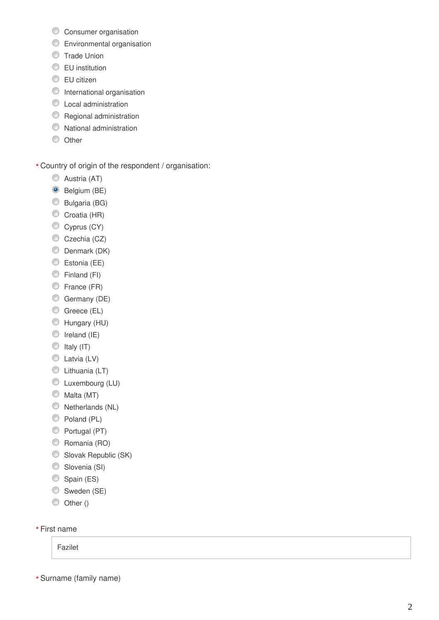- **C** Consumer organisation
- **Environmental organisation**
- **Trade Union**
- **EU** institution
- **EU** citizen
- **O** International organisation
- **C** Local administration
- **C** Regional administration
- $\bullet$  National administration
- $\circledcirc$  Other

Country of origin of the respondent / organisation:

- Austria (AT)
- <sup>O</sup> Belgium (BE)
- Bulgaria (BG)
- Croatia (HR)
- Cyprus (CY)
- Czechia (CZ)
- Denmark (DK)
- Estonia (EE)
- Finland (FI)
- **Erance (FR)**
- Germany (DE)
- Greece (EL)
- Hungary (HU)
- $\circ$  Ireland (IE)
- $\circledcirc$  Italy (IT)
- C Latvia (LV)
- C Lithuania (LT)
- Luxembourg (LU)
- $\circledcirc$  Malta (MT)
- O Netherlands (NL)
- $\bullet$  Poland (PL)
- Portugal (PT)
- C Romania (RO)
- Slovak Republic (SK)
- C Slovenia (SI)
- Spain (ES)
- Sweden (SE)
- Other ()

# First name **\*\*\***

Fazilet

Surname (family name)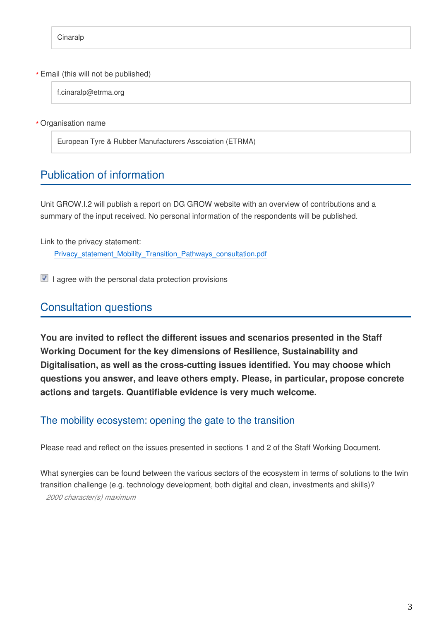### Email (this will not be published) **\***

f.cinaralp@etrma.org

Organisation name **\***

European Tyre & Rubber Manufacturers Asscoiation (ETRMA)

# Publication of information

Unit GROW.I.2 will publish a report on DG GROW website with an overview of contributions and a summary of the input received. No personal information of the respondents will be published.

Link to the privacy statement:

Privacy\_statement\_Mobility\_Transition\_Pathways\_consultation.pdf

 $\blacksquare$  I agree with the personal data protection provisions

# Consultation questions

**You are invited to reflect the different issues and scenarios presented in the Staff Working Document for the key dimensions of Resilience, Sustainability and Digitalisation, as well as the cross-cutting issues identified. You may choose which questions you answer, and leave others empty. Please, in particular, propose concrete actions and targets. Quantifiable evidence is very much welcome.**

# The mobility ecosystem: opening the gate to the transition

Please read and reflect on the issues presented in sections 1 and 2 of the Staff Working Document.

What synergies can be found between the various sectors of the ecosystem in terms of solutions to the twin transition challenge (e.g. technology development, both digital and clean, investments and skills)? *2000 character(s) maximum*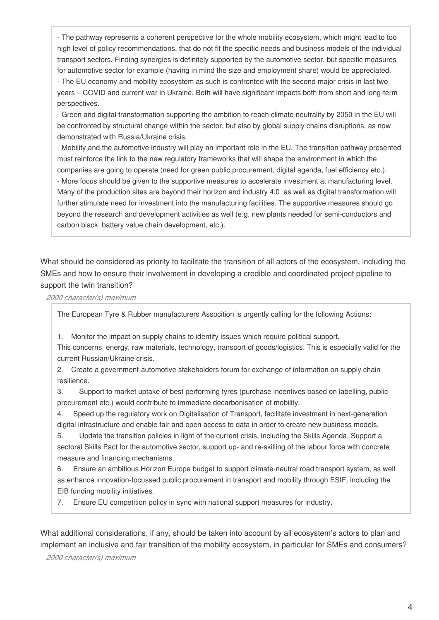- The pathway represents a coherent perspective for the whole mobility ecosystem, which might lead to too high level of policy recommendations, that do not fit the specific needs and business models of the individual transport sectors. Finding synergies is definitely supported by the automotive sector, but specific measures for automotive sector for example (having in mind the size and employment share) would be appreciated. - The EU economy and mobility ecosystem as such is confronted with the second major crisis in last two years – COVID and current war in Ukraine. Both will have significant impacts both from short and long-term perspectives.

- Green and digital transformation supporting the ambition to reach climate neutrality by 2050 in the EU will be confronted by structural change within the sector, but also by global supply chains disruptions, as now demonstrated with Russia/Ukraine crisis.

- Mobility and the automotive industry will play an important role in the EU. The transition pathway presented must reinforce the link to the new regulatory frameworks that will shape the environment in which the companies are going to operate (need for green public procurement, digital agenda, fuel efficiency etc.).

- More focus should be given to the supportive measures to accelerate investment at manufacturing level. Many of the production sites are beyond their horizon and industry 4.0 as well as digital transformation will further stimulate need for investment into the manufacturing facilities. The supportive measures should go beyond the research and development activities as well (e.g. new plants needed for semi-conductors and carbon black, battery value chain development, etc.).

What should be considered as priority to facilitate the transition of all actors of the ecosystem, including the SMEs and how to ensure their involvement in developing a credible and coordinated project pipeline to support the twin transition?

*2000 character(s) maximum*

The European Tyre & Rubber manufacturers Assocition is urgently calling for the following Actions:

1. Monitor the impact on supply chains to identify issues which require political support.

This concerns energy, raw materials, technology, transport of goods/logistics. This is especially valid for the current Russian/Ukraine crisis.

2. Create a government-automotive stakeholders forum for exchange of information on supply chain resilience.

3. Support to market uptake of best performing tyres (purchase incentives based on labelling, public procurement etc.) would contribute to immediate decarbonisation of mobility.

4. Speed up the regulatory work on Digitalisation of Transport, facilitate investment in next-generation digital infrastructure and enable fair and open access to data in order to create new business models.

5. Update the transition policies in light of the current crisis, including the Skills Agenda. Support a sectoral Skills Pact for the automotive sector, support up- and re-skilling of the labour force with concrete measure and financing mechanisms.

6. Ensure an ambitious Horizon Europe budget to support climate-neutral road transport system, as well as enhance innovation-focussed public procurement in transport and mobility through ESIF, including the EIB funding mobility initiatives.

7. Ensure EU competition policy in sync with national support measures for industry.

What additional considerations, if any, should be taken into account by all ecosystem's actors to plan and implement an inclusive and fair transition of the mobility ecosystem, in particular for SMEs and consumers?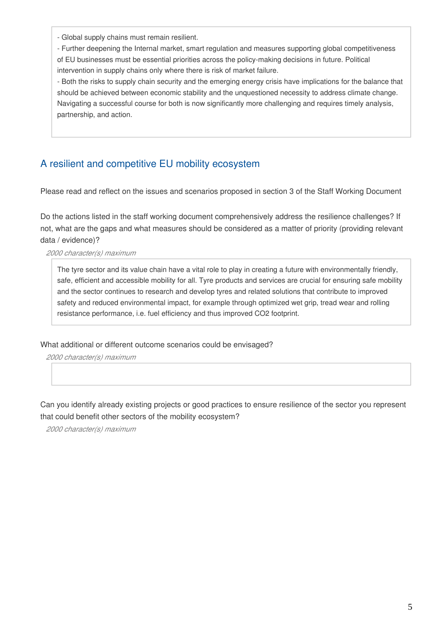- Global supply chains must remain resilient.

- Further deepening the Internal market, smart regulation and measures supporting global competitiveness of EU businesses must be essential priorities across the policy-making decisions in future. Political intervention in supply chains only where there is risk of market failure.

- Both the risks to supply chain security and the emerging energy crisis have implications for the balance that should be achieved between economic stability and the unquestioned necessity to address climate change. Navigating a successful course for both is now significantly more challenging and requires timely analysis, partnership, and action.

# A resilient and competitive EU mobility ecosystem

Please read and reflect on the issues and scenarios proposed in section 3 of the Staff Working Document

Do the actions listed in the staff working document comprehensively address the resilience challenges? If not, what are the gaps and what measures should be considered as a matter of priority (providing relevant data / evidence)?

*2000 character(s) maximum*

The tyre sector and its value chain have a vital role to play in creating a future with environmentally friendly, safe, efficient and accessible mobility for all. Tyre products and services are crucial for ensuring safe mobility and the sector continues to research and develop tyres and related solutions that contribute to improved safety and reduced environmental impact, for example through optimized wet grip, tread wear and rolling resistance performance, i.e. fuel efficiency and thus improved CO2 footprint.

What additional or different outcome scenarios could be envisaged?

*2000 character(s) maximum*

Can you identify already existing projects or good practices to ensure resilience of the sector you represent that could benefit other sectors of the mobility ecosystem?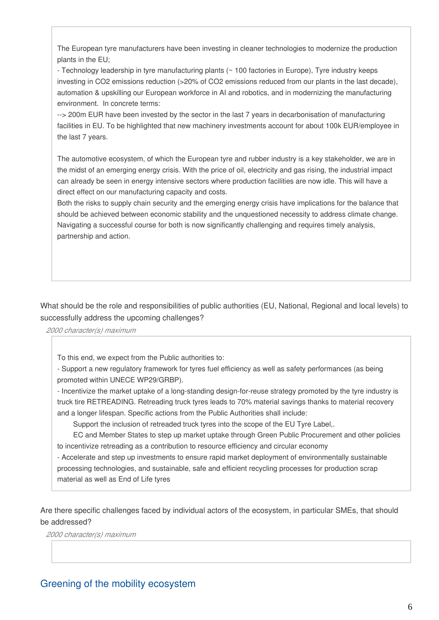The European tyre manufacturers have been investing in cleaner technologies to modernize the production plants in the EU;

- Technology leadership in tyre manufacturing plants (~ 100 factories in Europe), Tyre industry keeps investing in CO2 emissions reduction (>20% of CO2 emissions reduced from our plants in the last decade), automation & upskilling our European workforce in AI and robotics, and in modernizing the manufacturing environment. In concrete terms:

--> 200m EUR have been invested by the sector in the last 7 years in decarbonisation of manufacturing facilities in EU. To be highlighted that new machinery investments account for about 100k EUR/employee in the last 7 years.

The automotive ecosystem, of which the European tyre and rubber industry is a key stakeholder, we are in the midst of an emerging energy crisis. With the price of oil, electricity and gas rising, the industrial impact can already be seen in energy intensive sectors where production facilities are now idle. This will have a direct effect on our manufacturing capacity and costs.

Both the risks to supply chain security and the emerging energy crisis have implications for the balance that should be achieved between economic stability and the unquestioned necessity to address climate change. Navigating a successful course for both is now significantly challenging and requires timely analysis, partnership and action.

What should be the role and responsibilities of public authorities (EU, National, Regional and local levels) to successfully address the upcoming challenges?

*2000 character(s) maximum*

To this end, we expect from the Public authorities to:

- Support a new regulatory framework for tyres fuel efficiency as well as safety performances (as being promoted within UNECE WP29/GRBP).

- Incentivize the market uptake of a long-standing design-for-reuse strategy promoted by the tyre industry is truck tire RETREADING. Retreading truck tyres leads to 70% material savings thanks to material recovery and a longer lifespan. Specific actions from the Public Authorities shall include:

Support the inclusion of retreaded truck tyres into the scope of the EU Tyre Label,.

 EC and Member States to step up market uptake through Green Public Procurement and other policies to incentivize retreading as a contribution to resource efficiency and circular economy

- Accelerate and step up investments to ensure rapid market deployment of environmentally sustainable processing technologies, and sustainable, safe and efficient recycling processes for production scrap material as well as End of Life tyres

Are there specific challenges faced by individual actors of the ecosystem, in particular SMEs, that should be addressed?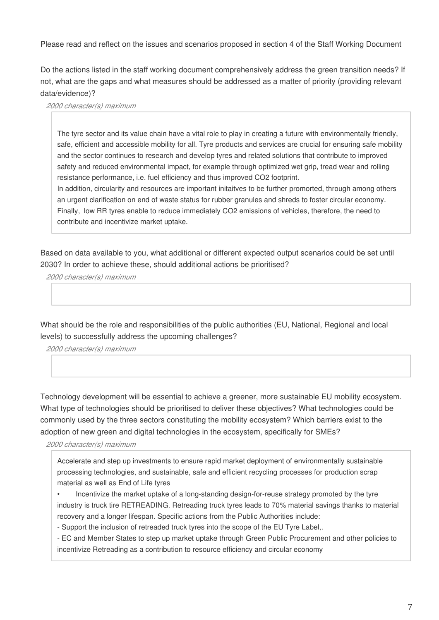Please read and reflect on the issues and scenarios proposed in section 4 of the Staff Working Document

Do the actions listed in the staff working document comprehensively address the green transition needs? If not, what are the gaps and what measures should be addressed as a matter of priority (providing relevant data/evidence)?

*2000 character(s) maximum*

The tyre sector and its value chain have a vital role to play in creating a future with environmentally friendly, safe, efficient and accessible mobility for all. Tyre products and services are crucial for ensuring safe mobility and the sector continues to research and develop tyres and related solutions that contribute to improved safety and reduced environmental impact, for example through optimized wet grip, tread wear and rolling resistance performance, i.e. fuel efficiency and thus improved CO2 footprint.

In addition, circularity and resources are important initaitves to be further promorted, through among others an urgent clarification on end of waste status for rubber granules and shreds to foster circular economy. Finally, low RR tyres enable to reduce immediately CO2 emissions of vehicles, therefore, the need to contribute and incentivize market uptake.

Based on data available to you, what additional or different expected output scenarios could be set until 2030? In order to achieve these, should additional actions be prioritised?

*2000 character(s) maximum*

What should be the role and responsibilities of the public authorities (EU, National, Regional and local levels) to successfully address the upcoming challenges?

*2000 character(s) maximum*

Technology development will be essential to achieve a greener, more sustainable EU mobility ecosystem. What type of technologies should be prioritised to deliver these objectives? What technologies could be commonly used by the three sectors constituting the mobility ecosystem? Which barriers exist to the adoption of new green and digital technologies in the ecosystem, specifically for SMEs?

*2000 character(s) maximum*

Accelerate and step up investments to ensure rapid market deployment of environmentally sustainable processing technologies, and sustainable, safe and efficient recycling processes for production scrap material as well as End of Life tyres

• Incentivize the market uptake of a long-standing design-for-reuse strategy promoted by the tyre industry is truck tire RETREADING. Retreading truck tyres leads to 70% material savings thanks to material recovery and a longer lifespan. Specific actions from the Public Authorities include:

- Support the inclusion of retreaded truck tyres into the scope of the EU Tyre Label,.

- EC and Member States to step up market uptake through Green Public Procurement and other policies to incentivize Retreading as a contribution to resource efficiency and circular economy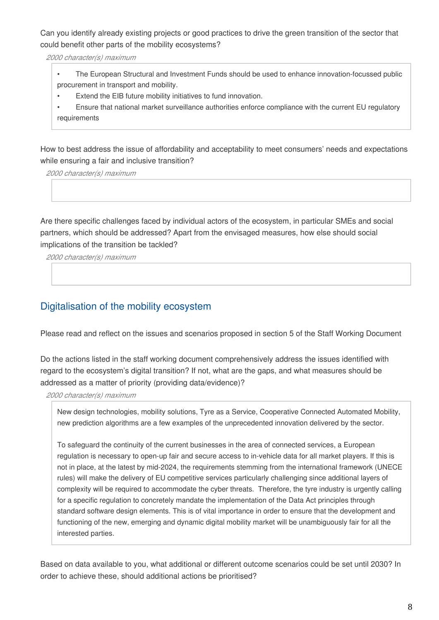Can you identify already existing projects or good practices to drive the green transition of the sector that could benefit other parts of the mobility ecosystems?

*2000 character(s) maximum*

- The European Structural and Investment Funds should be used to enhance innovation-focussed public procurement in transport and mobility.
- Extend the EIB future mobility initiatives to fund innovation.
- Ensure that national market surveillance authorities enforce compliance with the current EU regulatory requirements

How to best address the issue of affordability and acceptability to meet consumers' needs and expectations while ensuring a fair and inclusive transition?

*2000 character(s) maximum*

Are there specific challenges faced by individual actors of the ecosystem, in particular SMEs and social partners, which should be addressed? Apart from the envisaged measures, how else should social implications of the transition be tackled?

*2000 character(s) maximum*

# Digitalisation of the mobility ecosystem

Please read and reflect on the issues and scenarios proposed in section 5 of the Staff Working Document

Do the actions listed in the staff working document comprehensively address the issues identified with regard to the ecosystem's digital transition? If not, what are the gaps, and what measures should be addressed as a matter of priority (providing data/evidence)?

*2000 character(s) maximum*

New design technologies, mobility solutions, Tyre as a Service, Cooperative Connected Automated Mobility, new prediction algorithms are a few examples of the unprecedented innovation delivered by the sector.

To safeguard the continuity of the current businesses in the area of connected services, a European regulation is necessary to open-up fair and secure access to in-vehicle data for all market players. If this is not in place, at the latest by mid-2024, the requirements stemming from the international framework (UNECE rules) will make the delivery of EU competitive services particularly challenging since additional layers of complexity will be required to accommodate the cyber threats. Therefore, the tyre industry is urgently calling for a specific regulation to concretely mandate the implementation of the Data Act principles through standard software design elements. This is of vital importance in order to ensure that the development and functioning of the new, emerging and dynamic digital mobility market will be unambiguously fair for all the interested parties.

Based on data available to you, what additional or different outcome scenarios could be set until 2030? In order to achieve these, should additional actions be prioritised?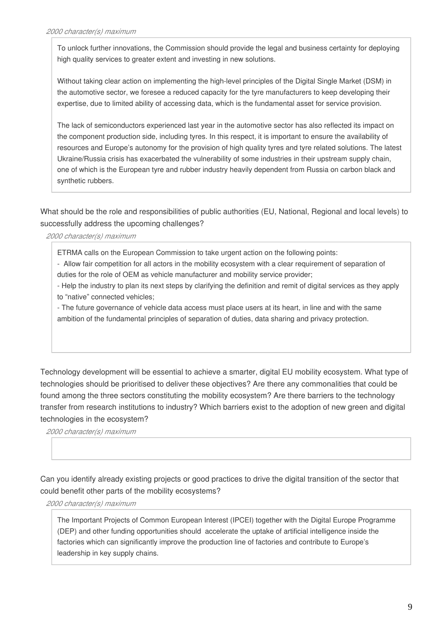To unlock further innovations, the Commission should provide the legal and business certainty for deploying high quality services to greater extent and investing in new solutions.

Without taking clear action on implementing the high-level principles of the Digital Single Market (DSM) in the automotive sector, we foresee a reduced capacity for the tyre manufacturers to keep developing their expertise, due to limited ability of accessing data, which is the fundamental asset for service provision.

The lack of semiconductors experienced last year in the automotive sector has also reflected its impact on the component production side, including tyres. In this respect, it is important to ensure the availability of resources and Europe's autonomy for the provision of high quality tyres and tyre related solutions. The latest Ukraine/Russia crisis has exacerbated the vulnerability of some industries in their upstream supply chain, one of which is the European tyre and rubber industry heavily dependent from Russia on carbon black and synthetic rubbers.

What should be the role and responsibilities of public authorities (EU, National, Regional and local levels) to successfully address the upcoming challenges?

### *2000 character(s) maximum*

ETRMA calls on the European Commission to take urgent action on the following points:

- Allow fair competition for all actors in the mobility ecosystem with a clear requirement of separation of duties for the role of OEM as vehicle manufacturer and mobility service provider;

- Help the industry to plan its next steps by clarifying the definition and remit of digital services as they apply to "native" connected vehicles;

- The future governance of vehicle data access must place users at its heart, in line and with the same ambition of the fundamental principles of separation of duties, data sharing and privacy protection.

Technology development will be essential to achieve a smarter, digital EU mobility ecosystem. What type of technologies should be prioritised to deliver these objectives? Are there any commonalities that could be found among the three sectors constituting the mobility ecosystem? Are there barriers to the technology transfer from research institutions to industry? Which barriers exist to the adoption of new green and digital technologies in the ecosystem?

*2000 character(s) maximum*

Can you identify already existing projects or good practices to drive the digital transition of the sector that could benefit other parts of the mobility ecosystems?

*2000 character(s) maximum*

The Important Projects of Common European Interest (IPCEI) together with the Digital Europe Programme (DEP) and other funding opportunities should accelerate the uptake of artificial intelligence inside the factories which can significantly improve the production line of factories and contribute to Europe's leadership in key supply chains.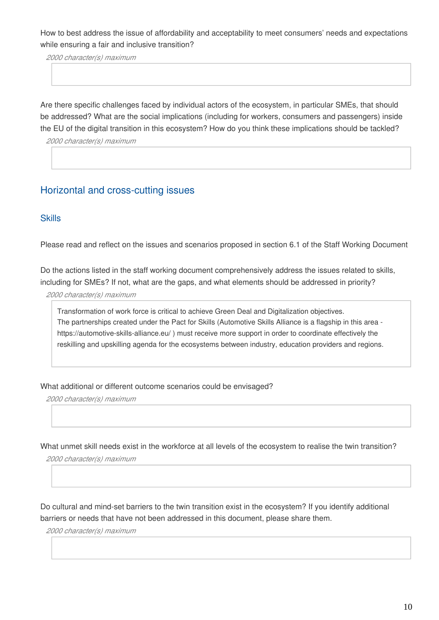How to best address the issue of affordability and acceptability to meet consumers' needs and expectations while ensuring a fair and inclusive transition?

*2000 character(s) maximum*

Are there specific challenges faced by individual actors of the ecosystem, in particular SMEs, that should be addressed? What are the social implications (including for workers, consumers and passengers) inside the EU of the digital transition in this ecosystem? How do you think these implications should be tackled?

*2000 character(s) maximum*

# Horizontal and cross-cutting issues

### **Skills**

Please read and reflect on the issues and scenarios proposed in section 6.1 of the Staff Working Document

Do the actions listed in the staff working document comprehensively address the issues related to skills, including for SMEs? If not, what are the gaps, and what elements should be addressed in priority?

*2000 character(s) maximum*

Transformation of work force is critical to achieve Green Deal and Digitalization objectives. The partnerships created under the Pact for Skills (Automotive Skills Alliance is a flagship in this area https://automotive-skills-alliance.eu/ ) must receive more support in order to coordinate effectively the reskilling and upskilling agenda for the ecosystems between industry, education providers and regions.

What additional or different outcome scenarios could be envisaged?

*2000 character(s) maximum*

What unmet skill needs exist in the workforce at all levels of the ecosystem to realise the twin transition?

*2000 character(s) maximum*

Do cultural and mind-set barriers to the twin transition exist in the ecosystem? If you identify additional barriers or needs that have not been addressed in this document, please share them.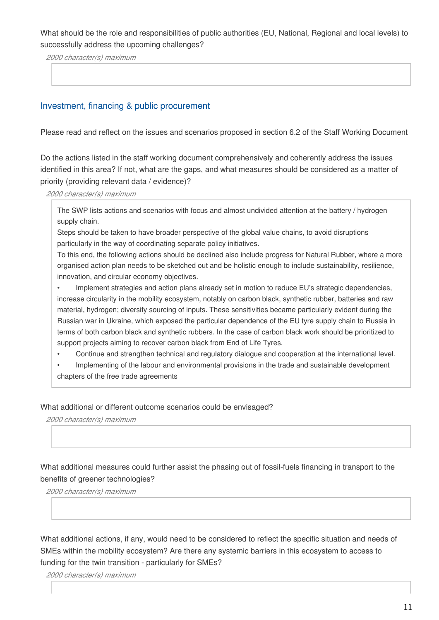### What should be the role and responsibilities of public authorities (EU, National, Regional and local levels) to successfully address the upcoming challenges?

*2000 character(s) maximum*

### Investment, financing & public procurement

Please read and reflect on the issues and scenarios proposed in section 6.2 of the Staff Working Document

Do the actions listed in the staff working document comprehensively and coherently address the issues identified in this area? If not, what are the gaps, and what measures should be considered as a matter of priority (providing relevant data / evidence)?

*2000 character(s) maximum*

The SWP lists actions and scenarios with focus and almost undivided attention at the battery / hydrogen supply chain.

Steps should be taken to have broader perspective of the global value chains, to avoid disruptions particularly in the way of coordinating separate policy initiatives.

To this end, the following actions should be declined also include progress for Natural Rubber, where a more organised action plan needs to be sketched out and be holistic enough to include sustainability, resilience, innovation, and circular economy objectives.

• Implement strategies and action plans already set in motion to reduce EU's strategic dependencies, increase circularity in the mobility ecosystem, notably on carbon black, synthetic rubber, batteries and raw material, hydrogen; diversify sourcing of inputs. These sensitivities became particularly evident during the Russian war in Ukraine, which exposed the particular dependence of the EU tyre supply chain to Russia in terms of both carbon black and synthetic rubbers. In the case of carbon black work should be prioritized to support projects aiming to recover carbon black from End of Life Tyres.

• Continue and strengthen technical and regulatory dialogue and cooperation at the international level.

• Implementing of the labour and environmental provisions in the trade and sustainable development chapters of the free trade agreements

What additional or different outcome scenarios could be envisaged?

*2000 character(s) maximum*

What additional measures could further assist the phasing out of fossil-fuels financing in transport to the benefits of greener technologies?

*2000 character(s) maximum*

What additional actions, if any, would need to be considered to reflect the specific situation and needs of SMEs within the mobility ecosystem? Are there any systemic barriers in this ecosystem to access to funding for the twin transition - particularly for SMEs?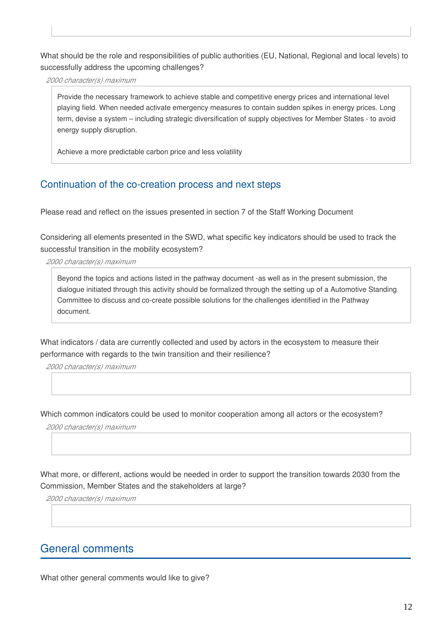What should be the role and responsibilities of public authorities (EU, National, Regional and local levels) to successfully address the upcoming challenges?

*2000 character(s) maximum*

Provide the necessary framework to achieve stable and competitive energy prices and international level playing field. When needed activate emergency measures to contain sudden spikes in energy prices. Long term, devise a system – including strategic diversification of supply objectives for Member States - to avoid energy supply disruption.

Achieve a more predictable carbon price and less volatility

# Continuation of the co-creation process and next steps

Please read and reflect on the issues presented in section 7 of the Staff Working Document

Considering all elements presented in the SWD, what specific key indicators should be used to track the successful transition in the mobility ecosystem?

*2000 character(s) maximum*

Beyond the topics and actions listed in the pathway document -as well as in the present submission, the dialogue initiated through this activity should be formalized through the setting up of a Automotive Standing Committee to discuss and co-create possible solutions for the challenges identified in the Pathway document.

What indicators / data are currently collected and used by actors in the ecosystem to measure their performance with regards to the twin transition and their resilience?

*2000 character(s) maximum*

Which common indicators could be used to monitor cooperation among all actors or the ecosystem?

*2000 character(s) maximum*

What more, or different, actions would be needed in order to support the transition towards 2030 from the Commission, Member States and the stakeholders at large?

*2000 character(s) maximum*

# General comments

What other general comments would like to give?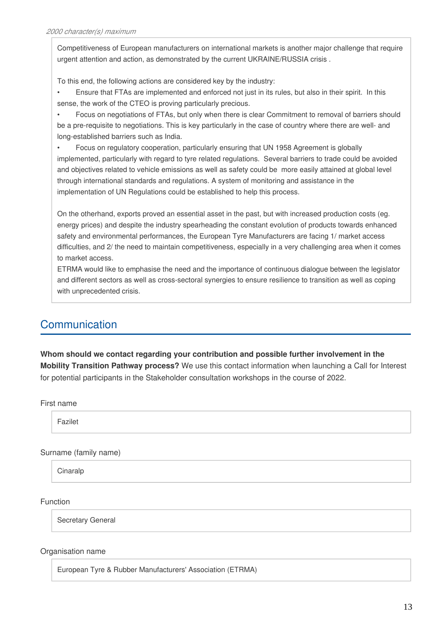Competitiveness of European manufacturers on international markets is another major challenge that require urgent attention and action, as demonstrated by the current UKRAINE/RUSSIA crisis .

To this end, the following actions are considered key by the industry:

• Ensure that FTAs are implemented and enforced not just in its rules, but also in their spirit. In this sense, the work of the CTEO is proving particularly precious.

• Focus on negotiations of FTAs, but only when there is clear Commitment to removal of barriers should be a pre-requisite to negotiations. This is key particularly in the case of country where there are well- and long-established barriers such as India.

• Focus on regulatory cooperation, particularly ensuring that UN 1958 Agreement is globally implemented, particularly with regard to tyre related regulations. Several barriers to trade could be avoided and objectives related to vehicle emissions as well as safety could be more easily attained at global level through international standards and regulations. A system of monitoring and assistance in the implementation of UN Regulations could be established to help this process.

On the otherhand, exports proved an essential asset in the past, but with increased production costs (eg. energy prices) and despite the industry spearheading the constant evolution of products towards enhanced safety and environmental performances, the European Tyre Manufacturers are facing 1/ market access difficulties, and 2/ the need to maintain competitiveness, especially in a very challenging area when it comes to market access.

ETRMA would like to emphasise the need and the importance of continuous dialogue between the legislator and different sectors as well as cross-sectoral synergies to ensure resilience to transition as well as coping with unprecedented crisis.

# Communication

**Whom should we contact regarding your contribution and possible further involvement in the Mobility Transition Pathway process?** We use this contact information when launching a Call for Interest for potential participants in the Stakeholder consultation workshops in the course of 2022.

First name

Fazilet

Surname (family name)

**Cinaralp** 

Function

Secretary General

### Organisation name

European Tyre & Rubber Manufacturers' Association (ETRMA)